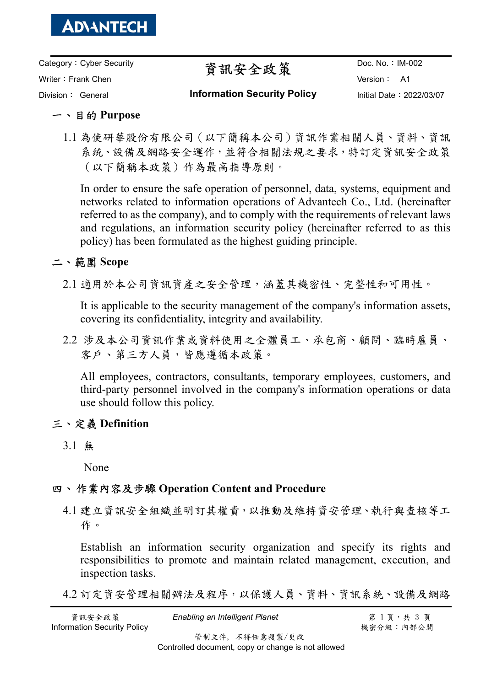

Category:Cyber Security Writer: Frank Chen Division: General

# 資訊安全政策

Doc. No.: IM-002 Version: A1 Initial Date:2022/03/07

#### Information Security Policy

## 一、目的 Purpose

1.1 為使研華股份有限公司(以下簡稱本公司)資訊作業相關人員、資料、資訊 系統、設備及網路安全運作,並符合相關法規之要求,特訂定資訊安全政策 (以下簡稱本政策)作為最高指導原則。

In order to ensure the safe operation of personnel, data, systems, equipment and networks related to information operations of Advantech Co., Ltd. (hereinafter referred to as the company), and to comply with the requirements of relevant laws and regulations, an information security policy (hereinafter referred to as this policy) has been formulated as the highest guiding principle.

## 二、範圍 Scope

2.1 適用於本公司資訊資產之安全管理,涵蓋其機密性、完整性和可用性。

It is applicable to the security management of the company's information assets, covering its confidentiality, integrity and availability.

2.2 涉及本公司資訊作業或資料使用之全體員工、承包商、顧問、臨時雇員、 客戶、第三方人員,皆應遵循本政策。

All employees, contractors, consultants, temporary employees, customers, and third-party personnel involved in the company's information operations or data use should follow this policy.

## 三、定義 Definition

3.1 無

None

## 四、 作業內容及步驟 Operation Content and Procedure

4.1 建立資訊安全組織並明訂其權責,以推動及維持資安管理、執行與查核等工 作。

Establish an information security organization and specify its rights and responsibilities to promote and maintain related management, execution, and inspection tasks.

4.2 訂定資安管理相關辦法及程序,以保護人員、資料、資訊系統、設備及網路

資訊安全政策 *Enabling an Intelligent Planet* 第 1 頁,共 3 頁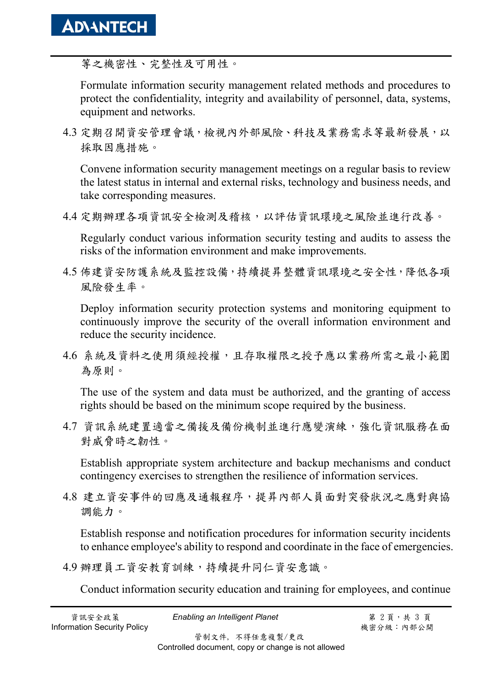等之機密性、完整性及可用性。

Formulate information security management related methods and procedures to protect the confidentiality, integrity and availability of personnel, data, systems, equipment and networks.

4.3 定期召開資安管理會議,檢視內外部風險、科技及業務需求等最新發展,以 採取因應措施。

Convene information security management meetings on a regular basis to review the latest status in internal and external risks, technology and business needs, and take corresponding measures.

4.4 定期辦理各項資訊安全檢測及稽核,以評估資訊環境之風險並進行改善。

Regularly conduct various information security testing and audits to assess the risks of the information environment and make improvements.

4.5 佈建資安防護系統及監控設備,持續提昇整體資訊環境之安全性,降低各項 風險發生率。

Deploy information security protection systems and monitoring equipment to continuously improve the security of the overall information environment and reduce the security incidence.

4.6 系統及資料之使用須經授權,且存取權限之授予應以業務所需之最小範圍 為原則。

The use of the system and data must be authorized, and the granting of access rights should be based on the minimum scope required by the business.

4.7 資訊系統建置適當之備援及備份機制並進行應變演練,強化資訊服務在面 對威脅時之韌性。

Establish appropriate system architecture and backup mechanisms and conduct contingency exercises to strengthen the resilience of information services.

4.8 建立資安事件的回應及通報程序,提昇內部人員面對突發狀況之應對與協 調能力。

Establish response and notification procedures for information security incidents to enhance employee's ability to respond and coordinate in the face of emergencies.

4.9 辦理員工資安教育訓練,持續提升同仁資安意識。

Conduct information security education and training for employees, and continue

**資訊安全政策 Enabling an Intelligent Planet 第 2 頁**, 共 3 頁